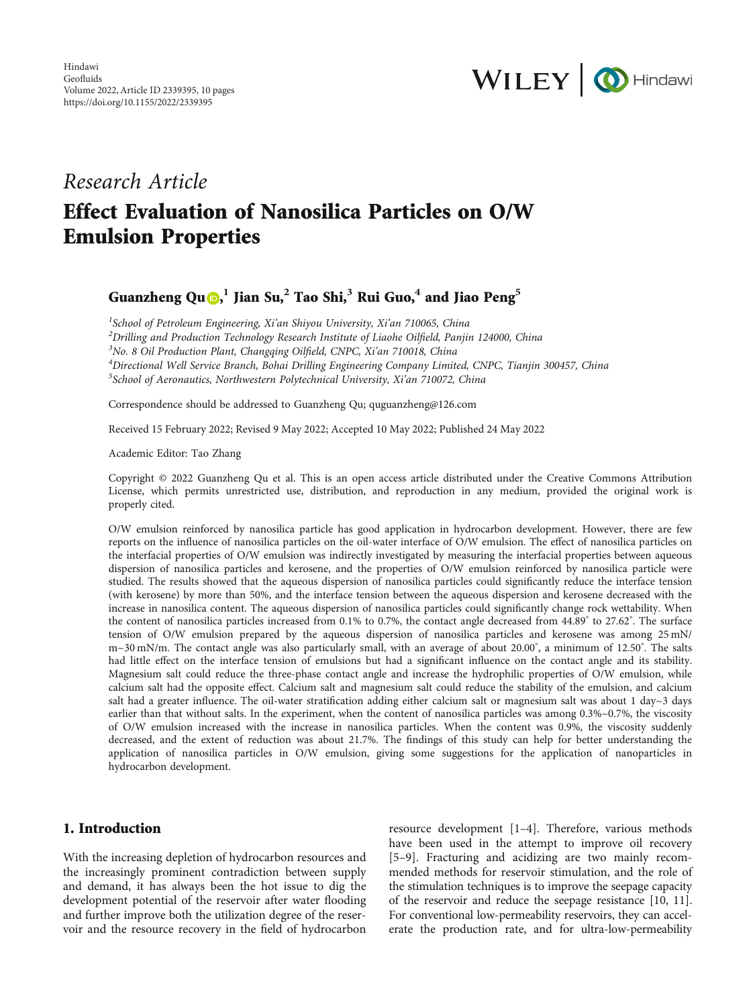

# Research Article Effect Evaluation of Nanosilica Particles on O/W Emulsion Properties

Guanzheng Qu [,](https://orcid.org/0000-0002-6106-9103) **<sup>1</sup>** Jian Su,**<sup>2</sup>** Tao Shi,**<sup>3</sup>** Rui Guo,**<sup>4</sup>** and Jiao Peng**<sup>5</sup>**

<sup>1</sup>School of Petroleum Engineering, Xi'an Shiyou University, Xi'an 710065, China<br><sup>2</sup>Drilling and Production Technology Pessarch Institute of Lisoke Oilfield, Panii  $^{2}$ Drilling and Production Technology Research Institute of Liaohe Oilfield, Panjin 124000, China  $3$ No. 8 Oil Production Plant, Changqing Oilfield, CNPC, Xi'an 710018, China <sup>4</sup>Directional Well Service Branch, Bohai Drilling Engineering Company Limited, CNPC, Tianjin 300457, China <sup>5</sup>School of Aeronautics, Northwestern Polytechnical University, Xi'an 710072, China

Correspondence should be addressed to Guanzheng Qu; quguanzheng@126.com

Received 15 February 2022; Revised 9 May 2022; Accepted 10 May 2022; Published 24 May 2022

Academic Editor: Tao Zhang

Copyright © 2022 Guanzheng Qu et al. This is an open access article distributed under the [Creative Commons Attribution](https://creativecommons.org/licenses/by/4.0/) [License,](https://creativecommons.org/licenses/by/4.0/) which permits unrestricted use, distribution, and reproduction in any medium, provided the original work is properly cited.

O/W emulsion reinforced by nanosilica particle has good application in hydrocarbon development. However, there are few reports on the influence of nanosilica particles on the oil-water interface of O/W emulsion. The effect of nanosilica particles on the interfacial properties of O/W emulsion was indirectly investigated by measuring the interfacial properties between aqueous dispersion of nanosilica particles and kerosene, and the properties of O/W emulsion reinforced by nanosilica particle were studied. The results showed that the aqueous dispersion of nanosilica particles could significantly reduce the interface tension (with kerosene) by more than 50%, and the interface tension between the aqueous dispersion and kerosene decreased with the increase in nanosilica content. The aqueous dispersion of nanosilica particles could significantly change rock wettability. When the content of nanosilica particles increased from 0.1% to 0.7%, the contact angle decreased from 44.89° to 27.62° . The surface tension of O/W emulsion prepared by the aqueous dispersion of nanosilica particles and kerosene was among 25 mN/ m~30 mN/m. The contact angle was also particularly small, with an average of about 20.00° , a minimum of 12.50° . The salts had little effect on the interface tension of emulsions but had a significant influence on the contact angle and its stability. Magnesium salt could reduce the three-phase contact angle and increase the hydrophilic properties of O/W emulsion, while calcium salt had the opposite effect. Calcium salt and magnesium salt could reduce the stability of the emulsion, and calcium salt had a greater influence. The oil-water stratification adding either calcium salt or magnesium salt was about 1 day $\sim$ 3 days earlier than that without salts. In the experiment, when the content of nanosilica particles was among 0.3%~0.7%, the viscosity of O/W emulsion increased with the increase in nanosilica particles. When the content was 0.9%, the viscosity suddenly decreased, and the extent of reduction was about 21.7%. The findings of this study can help for better understanding the application of nanosilica particles in O/W emulsion, giving some suggestions for the application of nanoparticles in hydrocarbon development.

## 1. Introduction

With the increasing depletion of hydrocarbon resources and the increasingly prominent contradiction between supply and demand, it has always been the hot issue to dig the development potential of the reservoir after water flooding and further improve both the utilization degree of the reservoir and the resource recovery in the field of hydrocarbon

resource development [[1](#page-7-0)–[4](#page-7-0)]. Therefore, various methods have been used in the attempt to improve oil recovery [\[5](#page-7-0)–[9](#page-7-0)]. Fracturing and acidizing are two mainly recommended methods for reservoir stimulation, and the role of the stimulation techniques is to improve the seepage capacity of the reservoir and reduce the seepage resistance [[10,](#page-7-0) [11](#page-8-0)]. For conventional low-permeability reservoirs, they can accelerate the production rate, and for ultra-low-permeability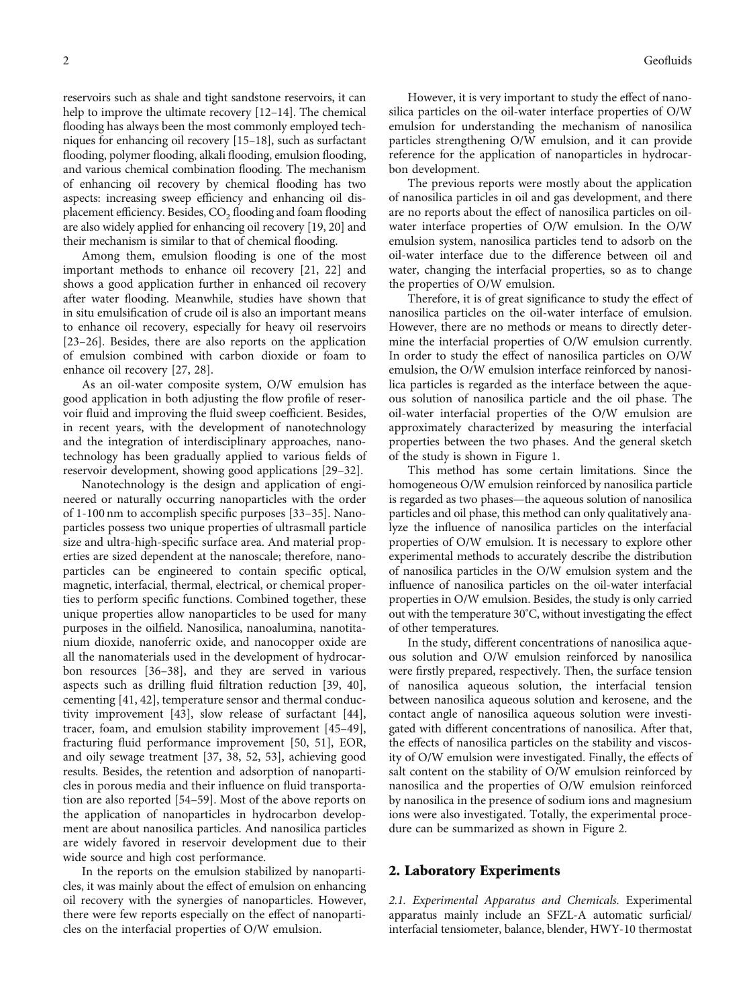reservoirs such as shale and tight sandstone reservoirs, it can help to improve the ultimate recovery [[12](#page-8-0)–[14\]](#page-8-0). The chemical flooding has always been the most commonly employed techniques for enhancing oil recovery [\[15](#page-8-0)–[18](#page-8-0)], such as surfactant flooding, polymer flooding, alkali flooding, emulsion flooding, and various chemical combination flooding. The mechanism of enhancing oil recovery by chemical flooding has two aspects: increasing sweep efficiency and enhancing oil displacement efficiency. Besides,  $CO<sub>2</sub>$  flooding and foam flooding are also widely applied for enhancing oil recovery [\[19, 20\]](#page-8-0) and their mechanism is similar to that of chemical flooding.

Among them, emulsion flooding is one of the most important methods to enhance oil recovery [[21](#page-8-0), [22\]](#page-8-0) and shows a good application further in enhanced oil recovery after water flooding. Meanwhile, studies have shown that in situ emulsification of crude oil is also an important means to enhance oil recovery, especially for heavy oil reservoirs [\[23](#page-8-0)–[26\]](#page-8-0). Besides, there are also reports on the application of emulsion combined with carbon dioxide or foam to enhance oil recovery [[27](#page-8-0), [28\]](#page-8-0).

As an oil-water composite system, O/W emulsion has good application in both adjusting the flow profile of reservoir fluid and improving the fluid sweep coefficient. Besides, in recent years, with the development of nanotechnology and the integration of interdisciplinary approaches, nanotechnology has been gradually applied to various fields of reservoir development, showing good applications [[29](#page-8-0)–[32](#page-8-0)].

Nanotechnology is the design and application of engineered or naturally occurring nanoparticles with the order of 1-100 nm to accomplish specific purposes [[33](#page-8-0)–[35](#page-8-0)]. Nanoparticles possess two unique properties of ultrasmall particle size and ultra-high-specific surface area. And material properties are sized dependent at the nanoscale; therefore, nanoparticles can be engineered to contain specific optical, magnetic, interfacial, thermal, electrical, or chemical properties to perform specific functions. Combined together, these unique properties allow nanoparticles to be used for many purposes in the oilfield. Nanosilica, nanoalumina, nanotitanium dioxide, nanoferric oxide, and nanocopper oxide are all the nanomaterials used in the development of hydrocarbon resources [\[36](#page-8-0)–[38](#page-8-0)], and they are served in various aspects such as drilling fluid filtration reduction [[39](#page-8-0), [40](#page-8-0)], cementing [\[41, 42\]](#page-9-0), temperature sensor and thermal conductivity improvement [[43](#page-9-0)], slow release of surfactant [[44](#page-9-0)], tracer, foam, and emulsion stability improvement [\[45](#page-9-0)–[49](#page-9-0)], fracturing fluid performance improvement [[50](#page-9-0), [51\]](#page-9-0), EOR, and oily sewage treatment [[37](#page-8-0), [38,](#page-8-0) [52, 53](#page-9-0)], achieving good results. Besides, the retention and adsorption of nanoparticles in porous media and their influence on fluid transportation are also reported [\[54](#page-9-0)–[59](#page-9-0)]. Most of the above reports on the application of nanoparticles in hydrocarbon development are about nanosilica particles. And nanosilica particles are widely favored in reservoir development due to their wide source and high cost performance.

In the reports on the emulsion stabilized by nanoparticles, it was mainly about the effect of emulsion on enhancing oil recovery with the synergies of nanoparticles. However, there were few reports especially on the effect of nanoparticles on the interfacial properties of O/W emulsion.

However, it is very important to study the effect of nanosilica particles on the oil-water interface properties of O/W emulsion for understanding the mechanism of nanosilica particles strengthening O/W emulsion, and it can provide reference for the application of nanoparticles in hydrocarbon development.

The previous reports were mostly about the application of nanosilica particles in oil and gas development, and there are no reports about the effect of nanosilica particles on oilwater interface properties of O/W emulsion. In the O/W emulsion system, nanosilica particles tend to adsorb on the oil-water interface due to the difference between oil and water, changing the interfacial properties, so as to change the properties of O/W emulsion.

Therefore, it is of great significance to study the effect of nanosilica particles on the oil-water interface of emulsion. However, there are no methods or means to directly determine the interfacial properties of O/W emulsion currently. In order to study the effect of nanosilica particles on O/W emulsion, the O/W emulsion interface reinforced by nanosilica particles is regarded as the interface between the aqueous solution of nanosilica particle and the oil phase. The oil-water interfacial properties of the O/W emulsion are approximately characterized by measuring the interfacial properties between the two phases. And the general sketch of the study is shown in Figure [1.](#page-2-0)

This method has some certain limitations. Since the homogeneous O/W emulsion reinforced by nanosilica particle is regarded as two phases—the aqueous solution of nanosilica particles and oil phase, this method can only qualitatively analyze the influence of nanosilica particles on the interfacial properties of O/W emulsion. It is necessary to explore other experimental methods to accurately describe the distribution of nanosilica particles in the O/W emulsion system and the influence of nanosilica particles on the oil-water interfacial properties in O/W emulsion. Besides, the study is only carried out with the temperature 30° C, without investigating the effect of other temperatures.

In the study, different concentrations of nanosilica aqueous solution and O/W emulsion reinforced by nanosilica were firstly prepared, respectively. Then, the surface tension of nanosilica aqueous solution, the interfacial tension between nanosilica aqueous solution and kerosene, and the contact angle of nanosilica aqueous solution were investigated with different concentrations of nanosilica. After that, the effects of nanosilica particles on the stability and viscosity of O/W emulsion were investigated. Finally, the effects of salt content on the stability of O/W emulsion reinforced by nanosilica and the properties of O/W emulsion reinforced by nanosilica in the presence of sodium ions and magnesium ions were also investigated. Totally, the experimental procedure can be summarized as shown in Figure [2](#page-2-0).

#### 2. Laboratory Experiments

2.1. Experimental Apparatus and Chemicals. Experimental apparatus mainly include an SFZL-A automatic surficial/ interfacial tensiometer, balance, blender, HWY-10 thermostat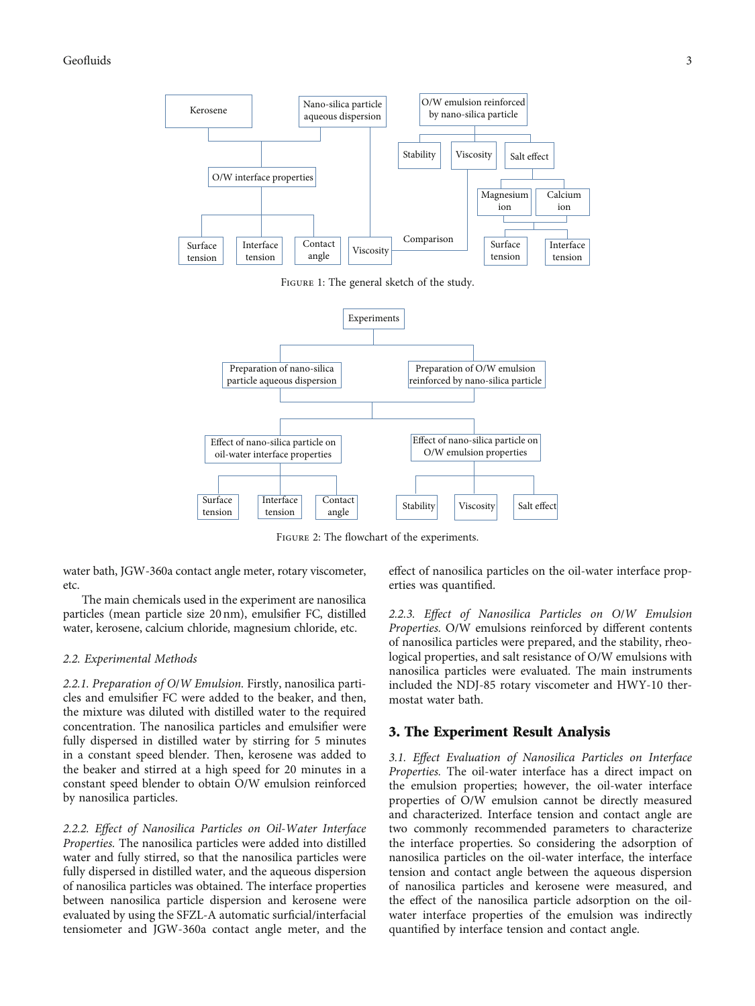## <span id="page-2-0"></span>Geofluids 3



Figure 2: The flowchart of the experiments.

water bath, JGW-360a contact angle meter, rotary viscometer, etc.

The main chemicals used in the experiment are nanosilica particles (mean particle size 20 nm), emulsifier FC, distilled water, kerosene, calcium chloride, magnesium chloride, etc.

#### 2.2. Experimental Methods

2.2.1. Preparation of O/W Emulsion. Firstly, nanosilica particles and emulsifier FC were added to the beaker, and then, the mixture was diluted with distilled water to the required concentration. The nanosilica particles and emulsifier were fully dispersed in distilled water by stirring for 5 minutes in a constant speed blender. Then, kerosene was added to the beaker and stirred at a high speed for 20 minutes in a constant speed blender to obtain O/W emulsion reinforced by nanosilica particles.

2.2.2. Effect of Nanosilica Particles on Oil-Water Interface Properties. The nanosilica particles were added into distilled water and fully stirred, so that the nanosilica particles were fully dispersed in distilled water, and the aqueous dispersion of nanosilica particles was obtained. The interface properties between nanosilica particle dispersion and kerosene were evaluated by using the SFZL-A automatic surficial/interfacial tensiometer and JGW-360a contact angle meter, and the

effect of nanosilica particles on the oil-water interface properties was quantified.

2.2.3. Effect of Nanosilica Particles on O/W Emulsion Properties. O/W emulsions reinforced by different contents of nanosilica particles were prepared, and the stability, rheological properties, and salt resistance of O/W emulsions with nanosilica particles were evaluated. The main instruments included the NDJ-85 rotary viscometer and HWY-10 thermostat water bath.

## 3. The Experiment Result Analysis

3.1. Effect Evaluation of Nanosilica Particles on Interface Properties. The oil-water interface has a direct impact on the emulsion properties; however, the oil-water interface properties of O/W emulsion cannot be directly measured and characterized. Interface tension and contact angle are two commonly recommended parameters to characterize the interface properties. So considering the adsorption of nanosilica particles on the oil-water interface, the interface tension and contact angle between the aqueous dispersion of nanosilica particles and kerosene were measured, and the effect of the nanosilica particle adsorption on the oilwater interface properties of the emulsion was indirectly quantified by interface tension and contact angle.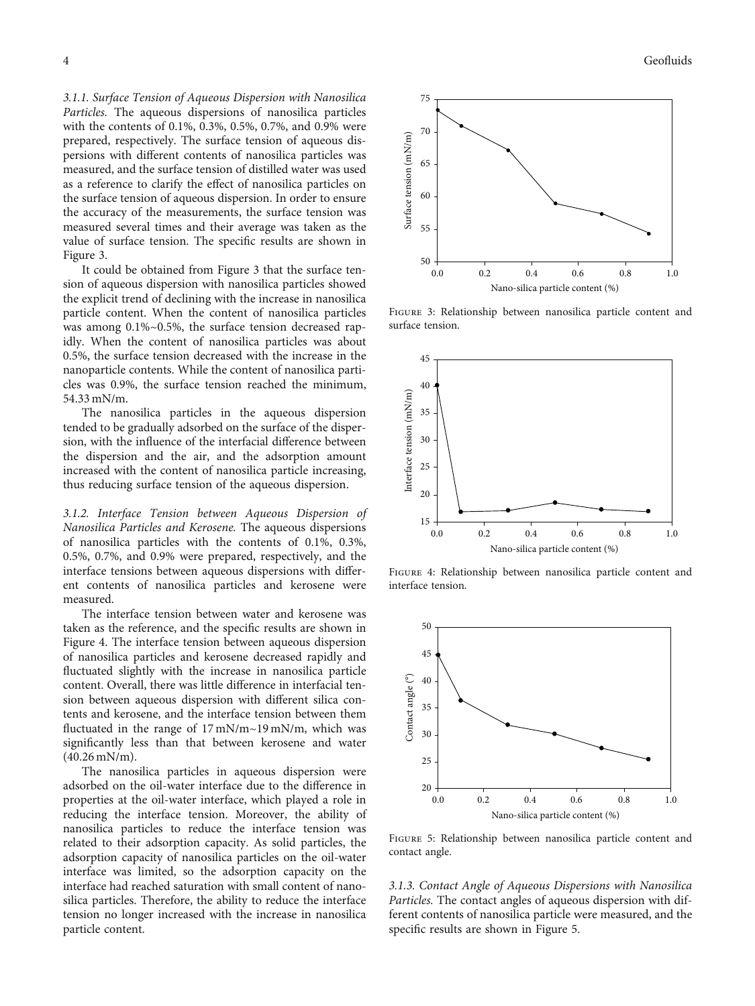<span id="page-3-0"></span>3.1.1. Surface Tension of Aqueous Dispersion with Nanosilica Particles. The aqueous dispersions of nanosilica particles with the contents of 0.1%, 0.3%, 0.5%, 0.7%, and 0.9% were prepared, respectively. The surface tension of aqueous dispersions with different contents of nanosilica particles was measured, and the surface tension of distilled water was used as a reference to clarify the effect of nanosilica particles on the surface tension of aqueous dispersion. In order to ensure the accuracy of the measurements, the surface tension was measured several times and their average was taken as the value of surface tension. The specific results are shown in Figure 3.

It could be obtained from Figure 3 that the surface tension of aqueous dispersion with nanosilica particles showed the explicit trend of declining with the increase in nanosilica particle content. When the content of nanosilica particles was among 0.1%~0.5%, the surface tension decreased rapidly. When the content of nanosilica particles was about 0.5%, the surface tension decreased with the increase in the nanoparticle contents. While the content of nanosilica particles was 0.9%, the surface tension reached the minimum, 54.33 mN/m.

The nanosilica particles in the aqueous dispersion tended to be gradually adsorbed on the surface of the dispersion, with the influence of the interfacial difference between the dispersion and the air, and the adsorption amount increased with the content of nanosilica particle increasing, thus reducing surface tension of the aqueous dispersion.

3.1.2. Interface Tension between Aqueous Dispersion of Nanosilica Particles and Kerosene. The aqueous dispersions of nanosilica particles with the contents of 0.1%, 0.3%, 0.5%, 0.7%, and 0.9% were prepared, respectively, and the interface tensions between aqueous dispersions with different contents of nanosilica particles and kerosene were measured.

The interface tension between water and kerosene was taken as the reference, and the specific results are shown in Figure 4. The interface tension between aqueous dispersion of nanosilica particles and kerosene decreased rapidly and fluctuated slightly with the increase in nanosilica particle content. Overall, there was little difference in interfacial tension between aqueous dispersion with different silica contents and kerosene, and the interface tension between them fluctuated in the range of 17 mN/m~19 mN/m, which was significantly less than that between kerosene and water (40.26 mN/m).

The nanosilica particles in aqueous dispersion were adsorbed on the oil-water interface due to the difference in properties at the oil-water interface, which played a role in reducing the interface tension. Moreover, the ability of nanosilica particles to reduce the interface tension was related to their adsorption capacity. As solid particles, the adsorption capacity of nanosilica particles on the oil-water interface was limited, so the adsorption capacity on the interface had reached saturation with small content of nanosilica particles. Therefore, the ability to reduce the interface tension no longer increased with the increase in nanosilica particle content.



Figure 3: Relationship between nanosilica particle content and surface tension.



Figure 4: Relationship between nanosilica particle content and interface tension.



Figure 5: Relationship between nanosilica particle content and contact angle.

3.1.3. Contact Angle of Aqueous Dispersions with Nanosilica Particles. The contact angles of aqueous dispersion with different contents of nanosilica particle were measured, and the specific results are shown in Figure 5.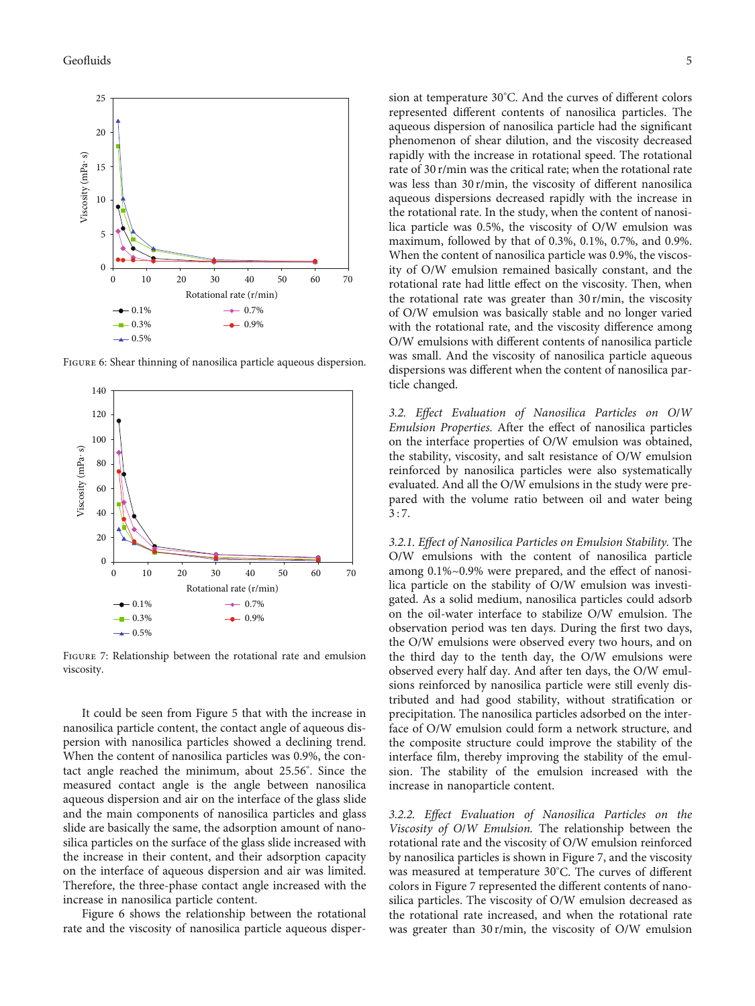

Figure 6: Shear thinning of nanosilica particle aqueous dispersion.



Figure 7: Relationship between the rotational rate and emulsion viscosity.

It could be seen from Figure [5](#page-3-0) that with the increase in nanosilica particle content, the contact angle of aqueous dispersion with nanosilica particles showed a declining trend. When the content of nanosilica particles was 0.9%, the contact angle reached the minimum, about 25.56° . Since the measured contact angle is the angle between nanosilica aqueous dispersion and air on the interface of the glass slide and the main components of nanosilica particles and glass slide are basically the same, the adsorption amount of nanosilica particles on the surface of the glass slide increased with the increase in their content, and their adsorption capacity on the interface of aqueous dispersion and air was limited. Therefore, the three-phase contact angle increased with the increase in nanosilica particle content.

Figure 6 shows the relationship between the rotational rate and the viscosity of nanosilica particle aqueous disper-

sion at temperature 30° C. And the curves of different colors represented different contents of nanosilica particles. The aqueous dispersion of nanosilica particle had the significant phenomenon of shear dilution, and the viscosity decreased rapidly with the increase in rotational speed. The rotational rate of 30 r/min was the critical rate; when the rotational rate was less than 30 r/min, the viscosity of different nanosilica aqueous dispersions decreased rapidly with the increase in the rotational rate. In the study, when the content of nanosilica particle was 0.5%, the viscosity of O/W emulsion was maximum, followed by that of 0.3%, 0.1%, 0.7%, and 0.9%. When the content of nanosilica particle was 0.9%, the viscosity of O/W emulsion remained basically constant, and the rotational rate had little effect on the viscosity. Then, when the rotational rate was greater than 30 r/min, the viscosity of O/W emulsion was basically stable and no longer varied with the rotational rate, and the viscosity difference among O/W emulsions with different contents of nanosilica particle was small. And the viscosity of nanosilica particle aqueous dispersions was different when the content of nanosilica particle changed.

3.2. Effect Evaluation of Nanosilica Particles on O/W Emulsion Properties. After the effect of nanosilica particles on the interface properties of O/W emulsion was obtained, the stability, viscosity, and salt resistance of O/W emulsion reinforced by nanosilica particles were also systematically evaluated. And all the O/W emulsions in the study were prepared with the volume ratio between oil and water being 3 : 7.

3.2.1. Effect of Nanosilica Particles on Emulsion Stability. The O/W emulsions with the content of nanosilica particle among 0.1%~0.9% were prepared, and the effect of nanosilica particle on the stability of O/W emulsion was investigated. As a solid medium, nanosilica particles could adsorb on the oil-water interface to stabilize O/W emulsion. The observation period was ten days. During the first two days, the O/W emulsions were observed every two hours, and on the third day to the tenth day, the O/W emulsions were observed every half day. And after ten days, the O/W emulsions reinforced by nanosilica particle were still evenly distributed and had good stability, without stratification or precipitation. The nanosilica particles adsorbed on the interface of O/W emulsion could form a network structure, and the composite structure could improve the stability of the interface film, thereby improving the stability of the emulsion. The stability of the emulsion increased with the increase in nanoparticle content.

3.2.2. Effect Evaluation of Nanosilica Particles on the Viscosity of O/W Emulsion. The relationship between the rotational rate and the viscosity of O/W emulsion reinforced by nanosilica particles is shown in Figure 7, and the viscosity was measured at temperature 30° C. The curves of different colors in Figure 7 represented the different contents of nanosilica particles. The viscosity of O/W emulsion decreased as the rotational rate increased, and when the rotational rate was greater than 30 r/min, the viscosity of O/W emulsion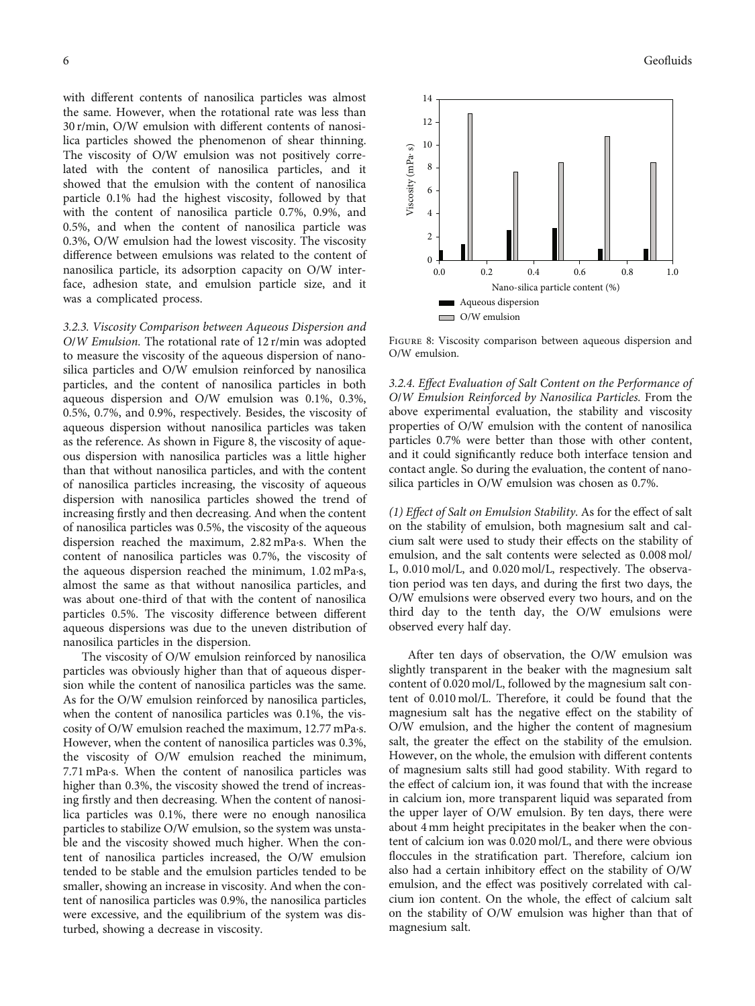with different contents of nanosilica particles was almost the same. However, when the rotational rate was less than 30 r/min, O/W emulsion with different contents of nanosilica particles showed the phenomenon of shear thinning. The viscosity of O/W emulsion was not positively correlated with the content of nanosilica particles, and it showed that the emulsion with the content of nanosilica particle 0.1% had the highest viscosity, followed by that with the content of nanosilica particle 0.7%, 0.9%, and 0.5%, and when the content of nanosilica particle was 0.3%, O/W emulsion had the lowest viscosity. The viscosity difference between emulsions was related to the content of nanosilica particle, its adsorption capacity on O/W interface, adhesion state, and emulsion particle size, and it was a complicated process.

3.2.3. Viscosity Comparison between Aqueous Dispersion and O/W Emulsion. The rotational rate of 12 r/min was adopted to measure the viscosity of the aqueous dispersion of nanosilica particles and O/W emulsion reinforced by nanosilica particles, and the content of nanosilica particles in both aqueous dispersion and O/W emulsion was 0.1%, 0.3%, 0.5%, 0.7%, and 0.9%, respectively. Besides, the viscosity of aqueous dispersion without nanosilica particles was taken as the reference. As shown in Figure 8, the viscosity of aqueous dispersion with nanosilica particles was a little higher than that without nanosilica particles, and with the content of nanosilica particles increasing, the viscosity of aqueous dispersion with nanosilica particles showed the trend of increasing firstly and then decreasing. And when the content of nanosilica particles was 0.5%, the viscosity of the aqueous dispersion reached the maximum, 2.82 mPa·s. When the content of nanosilica particles was 0.7%, the viscosity of the aqueous dispersion reached the minimum, 1.02 mPa·s, almost the same as that without nanosilica particles, and was about one-third of that with the content of nanosilica particles 0.5%. The viscosity difference between different aqueous dispersions was due to the uneven distribution of nanosilica particles in the dispersion.

The viscosity of O/W emulsion reinforced by nanosilica particles was obviously higher than that of aqueous dispersion while the content of nanosilica particles was the same. As for the O/W emulsion reinforced by nanosilica particles, when the content of nanosilica particles was 0.1%, the viscosity of O/W emulsion reached the maximum, 12.77 mPa·s. However, when the content of nanosilica particles was 0.3%, the viscosity of O/W emulsion reached the minimum, 7.71 mPa·s. When the content of nanosilica particles was higher than 0.3%, the viscosity showed the trend of increasing firstly and then decreasing. When the content of nanosilica particles was 0.1%, there were no enough nanosilica particles to stabilize O/W emulsion, so the system was unstable and the viscosity showed much higher. When the content of nanosilica particles increased, the O/W emulsion tended to be stable and the emulsion particles tended to be smaller, showing an increase in viscosity. And when the content of nanosilica particles was 0.9%, the nanosilica particles were excessive, and the equilibrium of the system was disturbed, showing a decrease in viscosity.



Figure 8: Viscosity comparison between aqueous dispersion and O/W emulsion.

3.2.4. Effect Evaluation of Salt Content on the Performance of O/W Emulsion Reinforced by Nanosilica Particles. From the above experimental evaluation, the stability and viscosity properties of O/W emulsion with the content of nanosilica particles 0.7% were better than those with other content, and it could significantly reduce both interface tension and contact angle. So during the evaluation, the content of nanosilica particles in O/W emulsion was chosen as 0.7%.

(1) Effect of Salt on Emulsion Stability. As for the effect of salt on the stability of emulsion, both magnesium salt and calcium salt were used to study their effects on the stability of emulsion, and the salt contents were selected as 0.008 mol/ L, 0.010 mol/L, and 0.020 mol/L, respectively. The observation period was ten days, and during the first two days, the O/W emulsions were observed every two hours, and on the third day to the tenth day, the O/W emulsions were observed every half day.

After ten days of observation, the O/W emulsion was slightly transparent in the beaker with the magnesium salt content of 0.020 mol/L, followed by the magnesium salt content of 0.010 mol/L. Therefore, it could be found that the magnesium salt has the negative effect on the stability of O/W emulsion, and the higher the content of magnesium salt, the greater the effect on the stability of the emulsion. However, on the whole, the emulsion with different contents of magnesium salts still had good stability. With regard to the effect of calcium ion, it was found that with the increase in calcium ion, more transparent liquid was separated from the upper layer of O/W emulsion. By ten days, there were about 4 mm height precipitates in the beaker when the content of calcium ion was 0.020 mol/L, and there were obvious floccules in the stratification part. Therefore, calcium ion also had a certain inhibitory effect on the stability of O/W emulsion, and the effect was positively correlated with calcium ion content. On the whole, the effect of calcium salt on the stability of O/W emulsion was higher than that of magnesium salt.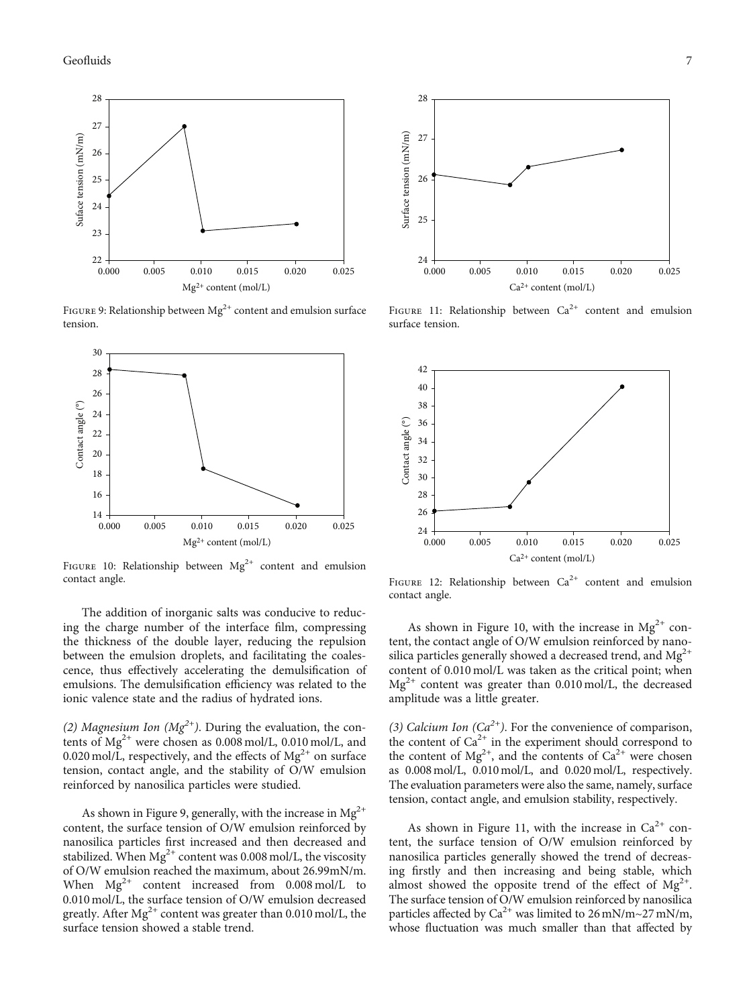<span id="page-6-0"></span>

FIGURE 9: Relationship between  $Mg^{2+}$  content and emulsion surface tension.



FIGURE 10: Relationship between  $Mg^{2+}$  content and emulsion contact angle.

The addition of inorganic salts was conducive to reducing the charge number of the interface film, compressing the thickness of the double layer, reducing the repulsion between the emulsion droplets, and facilitating the coalescence, thus effectively accelerating the demulsification of emulsions. The demulsification efficiency was related to the ionic valence state and the radius of hydrated ions.

(2) Magnesium Ion ( $Mg^{2+}$ ). During the evaluation, the contents of  $Mg^{2+}$  were chosen as 0.008 mol/L, 0.010 mol/L, and 0.020 mol/L, respectively, and the effects of  $Mg^{2+}$  on surface tension, contact angle, and the stability of O/W emulsion reinforced by nanosilica particles were studied.

As shown in Figure 9, generally, with the increase in  $Mg^{2+}$ content, the surface tension of O/W emulsion reinforced by nanosilica particles first increased and then decreased and stabilized. When  $Mg^{2+}$  content was 0.008 mol/L, the viscosity of O/W emulsion reached the maximum, about 26.99mN/m. When  $Mg^{2+}$  content increased from 0.008 mol/L to 0.010 mol/L, the surface tension of O/W emulsion decreased greatly. After  $Mg^{2+}$  content was greater than 0.010 mol/L, the surface tension showed a stable trend.



FIGURE 11: Relationship between  $Ca^{2+}$  content and emulsion surface tension.



FIGURE 12: Relationship between  $Ca^{2+}$  content and emulsion contact angle.

As shown in Figure 10, with the increase in  $Mg^{2+}$  content, the contact angle of O/W emulsion reinforced by nanosilica particles generally showed a decreased trend, and  $Mg<sup>2+</sup>$ content of 0.010 mol/L was taken as the critical point; when  $Mg^{2+}$  content was greater than 0.010 mol/L, the decreased amplitude was a little greater.

(3) Calcium Ion  $(Ca^{2+})$ . For the convenience of comparison, the content of  $Ca^{2+}$  in the experiment should correspond to the content of  $\text{Mg}^{2+}$ , and the contents of  $\text{Ca}^{2+}$  were chosen as 0.008 mol/L, 0.010 mol/L, and 0.020 mol/L, respectively. The evaluation parameters were also the same, namely, surface tension, contact angle, and emulsion stability, respectively.

As shown in Figure 11, with the increase in  $Ca^{2+}$  content, the surface tension of O/W emulsion reinforced by nanosilica particles generally showed the trend of decreasing firstly and then increasing and being stable, which almost showed the opposite trend of the effect of  $Mg^{2+}$ . The surface tension of O/W emulsion reinforced by nanosilica particles affected by  $Ca^{2+}$  was limited to 26 mN/m~27 mN/m, whose fluctuation was much smaller than that affected by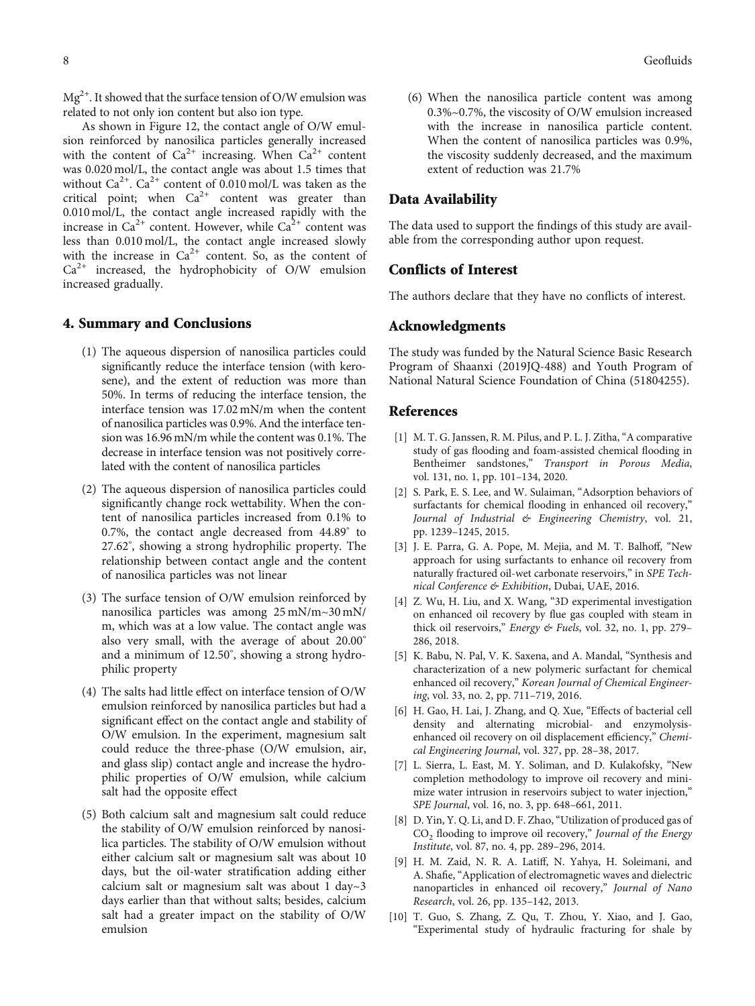$Mg^{2+}$ . It showed that the surface tension of O/W emulsion was related to not only ion content but also ion type.

As shown in Figure [12,](#page-6-0) the contact angle of O/W emulsion reinforced by nanosilica particles generally increased with the content of  $Ca^{2+}$  increasing. When  $Ca^{2+}$  content was 0.020 mol/L, the contact angle was about 1.5 times that without  $Ca^{2+}$ .  $Ca^{2+}$  content of 0.010 mol/L was taken as the critical point; when  $Ca^{2+}$  content was greater than 0.010 mol/L, the contact angle increased rapidly with the increase in  $Ca^{2+}$  content. However, while  $Ca^{2+}$  content was less than 0.010 mol/L, the contact angle increased slowly with the increase in  $Ca^{2+}$  content. So, as the content of  $Ca<sup>2+</sup>$  increased, the hydrophobicity of O/W emulsion increased gradually.

## 4. Summary and Conclusions

- (1) The aqueous dispersion of nanosilica particles could significantly reduce the interface tension (with kerosene), and the extent of reduction was more than 50%. In terms of reducing the interface tension, the interface tension was 17.02 mN/m when the content of nanosilica particles was 0.9%. And the interface tension was 16.96 mN/m while the content was 0.1%. The decrease in interface tension was not positively correlated with the content of nanosilica particles
- (2) The aqueous dispersion of nanosilica particles could significantly change rock wettability. When the content of nanosilica particles increased from 0.1% to 0.7%, the contact angle decreased from 44.89° to 27.62° , showing a strong hydrophilic property. The relationship between contact angle and the content of nanosilica particles was not linear
- (3) The surface tension of O/W emulsion reinforced by nanosilica particles was among 25 mN/m~30 mN/ m, which was at a low value. The contact angle was also very small, with the average of about 20.00° and a minimum of 12.50° , showing a strong hydrophilic property
- (4) The salts had little effect on interface tension of O/W emulsion reinforced by nanosilica particles but had a significant effect on the contact angle and stability of O/W emulsion. In the experiment, magnesium salt could reduce the three-phase (O/W emulsion, air, and glass slip) contact angle and increase the hydrophilic properties of O/W emulsion, while calcium salt had the opposite effect
- (5) Both calcium salt and magnesium salt could reduce the stability of O/W emulsion reinforced by nanosilica particles. The stability of O/W emulsion without either calcium salt or magnesium salt was about 10 days, but the oil-water stratification adding either calcium salt or magnesium salt was about 1 day~3 days earlier than that without salts; besides, calcium salt had a greater impact on the stability of O/W emulsion
- <span id="page-7-0"></span>8 Geofluids
	- (6) When the nanosilica particle content was among 0.3%~0.7%, the viscosity of O/W emulsion increased with the increase in nanosilica particle content. When the content of nanosilica particles was 0.9%, the viscosity suddenly decreased, and the maximum extent of reduction was 21.7%

## Data Availability

The data used to support the findings of this study are available from the corresponding author upon request.

## Conflicts of Interest

The authors declare that they have no conflicts of interest.

## Acknowledgments

The study was funded by the Natural Science Basic Research Program of Shaanxi (2019JQ-488) and Youth Program of National Natural Science Foundation of China (51804255).

## References

- [1] M. T. G. Janssen, R. M. Pilus, and P. L. J. Zitha, "A comparative study of gas flooding and foam-assisted chemical flooding in Bentheimer sandstones," Transport in Porous Media, vol. 131, no. 1, pp. 101–134, 2020.
- [2] S. Park, E. S. Lee, and W. Sulaiman, "Adsorption behaviors of surfactants for chemical flooding in enhanced oil recovery," Journal of Industrial & Engineering Chemistry, vol. 21, pp. 1239–1245, 2015.
- [3] J. E. Parra, G. A. Pope, M. Mejia, and M. T. Balhoff, "New approach for using surfactants to enhance oil recovery from naturally fractured oil-wet carbonate reservoirs," in SPE Technical Conference & Exhibition, Dubai, UAE, 2016.
- [4] Z. Wu, H. Liu, and X. Wang, "3D experimental investigation on enhanced oil recovery by flue gas coupled with steam in thick oil reservoirs," Energy & Fuels, vol. 32, no. 1, pp. 279– 286, 2018.
- [5] K. Babu, N. Pal, V. K. Saxena, and A. Mandal, "Synthesis and characterization of a new polymeric surfactant for chemical enhanced oil recovery," Korean Journal of Chemical Engineering, vol. 33, no. 2, pp. 711–719, 2016.
- [6] H. Gao, H. Lai, J. Zhang, and Q. Xue, "Effects of bacterial cell density and alternating microbial- and enzymolysisenhanced oil recovery on oil displacement efficiency," Chemical Engineering Journal, vol. 327, pp. 28–38, 2017.
- [7] L. Sierra, L. East, M. Y. Soliman, and D. Kulakofsky, "New completion methodology to improve oil recovery and minimize water intrusion in reservoirs subject to water injection," SPE Journal, vol. 16, no. 3, pp. 648–661, 2011.
- [8] D. Yin, Y. Q. Li, and D. F. Zhao, "Utilization of produced gas of CO<sub>2</sub> flooding to improve oil recovery," Journal of the Energy Institute, vol. 87, no. 4, pp. 289–296, 2014.
- [9] H. M. Zaid, N. R. A. Latiff, N. Yahya, H. Soleimani, and A. Shafie, "Application of electromagnetic waves and dielectric nanoparticles in enhanced oil recovery," Journal of Nano Research, vol. 26, pp. 135–142, 2013.
- [10] T. Guo, S. Zhang, Z. Qu, T. Zhou, Y. Xiao, and J. Gao, "Experimental study of hydraulic fracturing for shale by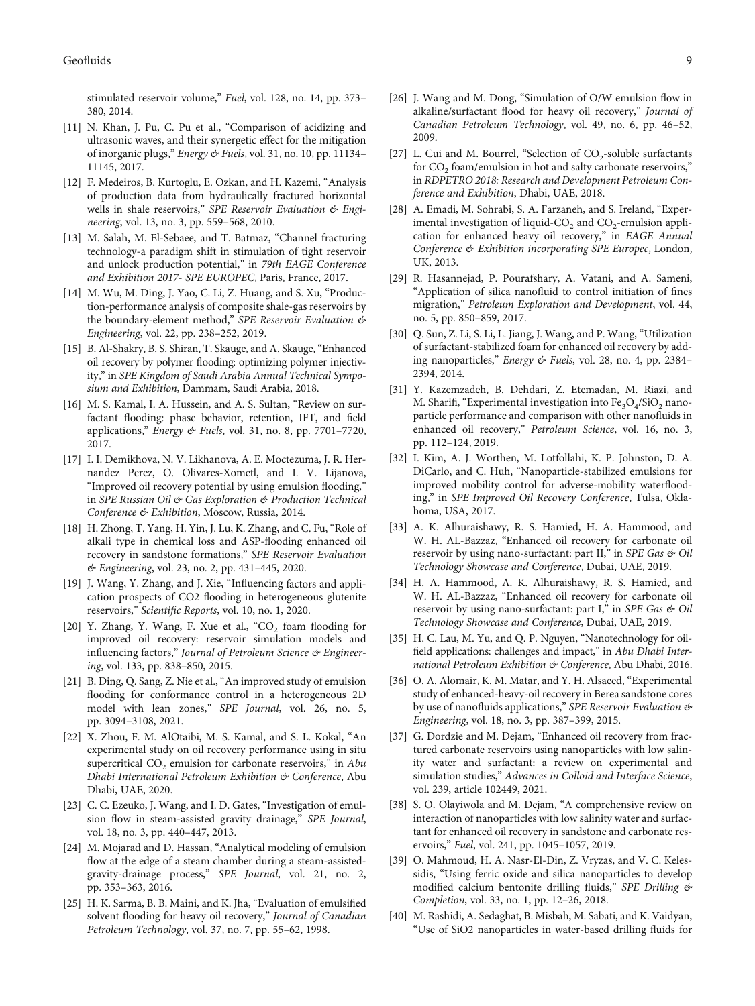<span id="page-8-0"></span>stimulated reservoir volume," Fuel, vol. 128, no. 14, pp. 373-380, 2014.

- [11] N. Khan, J. Pu, C. Pu et al., "Comparison of acidizing and ultrasonic waves, and their synergetic effect for the mitigation of inorganic plugs," Energy & Fuels, vol. 31, no. 10, pp. 11134– 11145, 2017.
- [12] F. Medeiros, B. Kurtoglu, E. Ozkan, and H. Kazemi, "Analysis of production data from hydraulically fractured horizontal wells in shale reservoirs," SPE Reservoir Evaluation & Engineering, vol. 13, no. 3, pp. 559–568, 2010.
- [13] M. Salah, M. El-Sebaee, and T. Batmaz, "Channel fracturing technology-a paradigm shift in stimulation of tight reservoir and unlock production potential," in 79th EAGE Conference and Exhibition 2017- SPE EUROPEC, Paris, France, 2017.
- [14] M. Wu, M. Ding, J. Yao, C. Li, Z. Huang, and S. Xu, "Production-performance analysis of composite shale-gas reservoirs by the boundary-element method," SPE Reservoir Evaluation & Engineering, vol. 22, pp. 238–252, 2019.
- [15] B. Al-Shakry, B. S. Shiran, T. Skauge, and A. Skauge, "Enhanced oil recovery by polymer flooding: optimizing polymer injectivity," in SPE Kingdom of Saudi Arabia Annual Technical Symposium and Exhibition, Dammam, Saudi Arabia, 2018.
- [16] M. S. Kamal, I. A. Hussein, and A. S. Sultan, "Review on surfactant flooding: phase behavior, retention, IFT, and field applications," Energy & Fuels, vol. 31, no. 8, pp. 7701–7720, 2017.
- [17] I. I. Demikhova, N. V. Likhanova, A. E. Moctezuma, J. R. Hernandez Perez, O. Olivares-Xometl, and I. V. Lijanova, "Improved oil recovery potential by using emulsion flooding," in SPE Russian Oil & Gas Exploration & Production Technical Conference & Exhibition, Moscow, Russia, 2014.
- [18] H. Zhong, T. Yang, H. Yin, J. Lu, K. Zhang, and C. Fu, "Role of alkali type in chemical loss and ASP-flooding enhanced oil recovery in sandstone formations," SPE Reservoir Evaluation & Engineering, vol. 23, no. 2, pp. 431–445, 2020.
- [19] J. Wang, Y. Zhang, and J. Xie, "Influencing factors and application prospects of CO2 flooding in heterogeneous glutenite reservoirs," Scientific Reports, vol. 10, no. 1, 2020.
- [20] Y. Zhang, Y. Wang, F. Xue et al., " $CO<sub>2</sub>$  foam flooding for improved oil recovery: reservoir simulation models and influencing factors," Journal of Petroleum Science & Engineering, vol. 133, pp. 838–850, 2015.
- [21] B. Ding, Q. Sang, Z. Nie et al., "An improved study of emulsion flooding for conformance control in a heterogeneous 2D model with lean zones," SPE Journal, vol. 26, no. 5, pp. 3094–3108, 2021.
- [22] X. Zhou, F. M. AlOtaibi, M. S. Kamal, and S. L. Kokal, "An experimental study on oil recovery performance using in situ supercritical  $CO<sub>2</sub>$  emulsion for carbonate reservoirs," in Abu Dhabi International Petroleum Exhibition & Conference, Abu Dhabi, UAE, 2020.
- [23] C. C. Ezeuko, J. Wang, and I. D. Gates, "Investigation of emulsion flow in steam-assisted gravity drainage," SPE Journal, vol. 18, no. 3, pp. 440–447, 2013.
- [24] M. Mojarad and D. Hassan, "Analytical modeling of emulsion flow at the edge of a steam chamber during a steam-assistedgravity-drainage process," SPE Journal, vol. 21, no. 2, pp. 353–363, 2016.
- [25] H. K. Sarma, B. B. Maini, and K. Jha, "Evaluation of emulsified solvent flooding for heavy oil recovery," Journal of Canadian Petroleum Technology, vol. 37, no. 7, pp. 55–62, 1998.
- [26] J. Wang and M. Dong, "Simulation of O/W emulsion flow in alkaline/surfactant flood for heavy oil recovery," Journal of Canadian Petroleum Technology, vol. 49, no. 6, pp. 46–52, 2009.
- [27] L. Cui and M. Bourrel, "Selection of  $CO<sub>2</sub>$ -soluble surfactants for  $CO<sub>2</sub>$  foam/emulsion in hot and salty carbonate reservoirs," in RDPETRO 2018: Research and Development Petroleum Conference and Exhibition, Dhabi, UAE, 2018.
- [28] A. Emadi, M. Sohrabi, S. A. Farzaneh, and S. Ireland, "Experimental investigation of liquid- $CO<sub>2</sub>$  and  $CO<sub>2</sub>$ -emulsion application for enhanced heavy oil recovery," in EAGE Annual Conference & Exhibition incorporating SPE Europec, London, UK, 2013.
- [29] R. Hasannejad, P. Pourafshary, A. Vatani, and A. Sameni, "Application of silica nanofluid to control initiation of fines migration," Petroleum Exploration and Development, vol. 44, no. 5, pp. 850–859, 2017.
- [30] Q. Sun, Z. Li, S. Li, L. Jiang, J. Wang, and P. Wang, "Utilization of surfactant-stabilized foam for enhanced oil recovery by adding nanoparticles," Energy & Fuels, vol. 28, no. 4, pp. 2384– 2394, 2014.
- [31] Y. Kazemzadeh, B. Dehdari, Z. Etemadan, M. Riazi, and M. Sharifi, "Experimental investigation into  $Fe<sub>3</sub>O<sub>4</sub>/SiO<sub>2</sub>$  nanoparticle performance and comparison with other nanofluids in enhanced oil recovery," Petroleum Science, vol. 16, no. 3, pp. 112–124, 2019.
- [32] I. Kim, A. J. Worthen, M. Lotfollahi, K. P. Johnston, D. A. DiCarlo, and C. Huh, "Nanoparticle-stabilized emulsions for improved mobility control for adverse-mobility waterflooding," in SPE Improved Oil Recovery Conference, Tulsa, Oklahoma, USA, 2017.
- [33] A. K. Alhuraishawy, R. S. Hamied, H. A. Hammood, and W. H. AL-Bazzaz, "Enhanced oil recovery for carbonate oil reservoir by using nano-surfactant: part II," in SPE Gas & Oil Technology Showcase and Conference, Dubai, UAE, 2019.
- [34] H. A. Hammood, A. K. Alhuraishawy, R. S. Hamied, and W. H. AL-Bazzaz, "Enhanced oil recovery for carbonate oil reservoir by using nano-surfactant: part I," in SPE Gas & Oil Technology Showcase and Conference, Dubai, UAE, 2019.
- [35] H. C. Lau, M. Yu, and Q. P. Nguyen, "Nanotechnology for oilfield applications: challenges and impact," in Abu Dhabi International Petroleum Exhibition & Conference, Abu Dhabi, 2016.
- [36] O. A. Alomair, K. M. Matar, and Y. H. Alsaeed, "Experimental study of enhanced-heavy-oil recovery in Berea sandstone cores by use of nanofluids applications," SPE Reservoir Evaluation & Engineering, vol. 18, no. 3, pp. 387–399, 2015.
- [37] G. Dordzie and M. Dejam, "Enhanced oil recovery from fractured carbonate reservoirs using nanoparticles with low salinity water and surfactant: a review on experimental and simulation studies," Advances in Colloid and Interface Science, vol. 239, article 102449, 2021.
- [38] S. O. Olayiwola and M. Dejam, "A comprehensive review on interaction of nanoparticles with low salinity water and surfactant for enhanced oil recovery in sandstone and carbonate reservoirs," Fuel, vol. 241, pp. 1045–1057, 2019.
- [39] O. Mahmoud, H. A. Nasr-El-Din, Z. Vryzas, and V. C. Kelessidis, "Using ferric oxide and silica nanoparticles to develop modified calcium bentonite drilling fluids," SPE Drilling & Completion, vol. 33, no. 1, pp. 12–26, 2018.
- [40] M. Rashidi, A. Sedaghat, B. Misbah, M. Sabati, and K. Vaidyan, "Use of SiO2 nanoparticles in water-based drilling fluids for